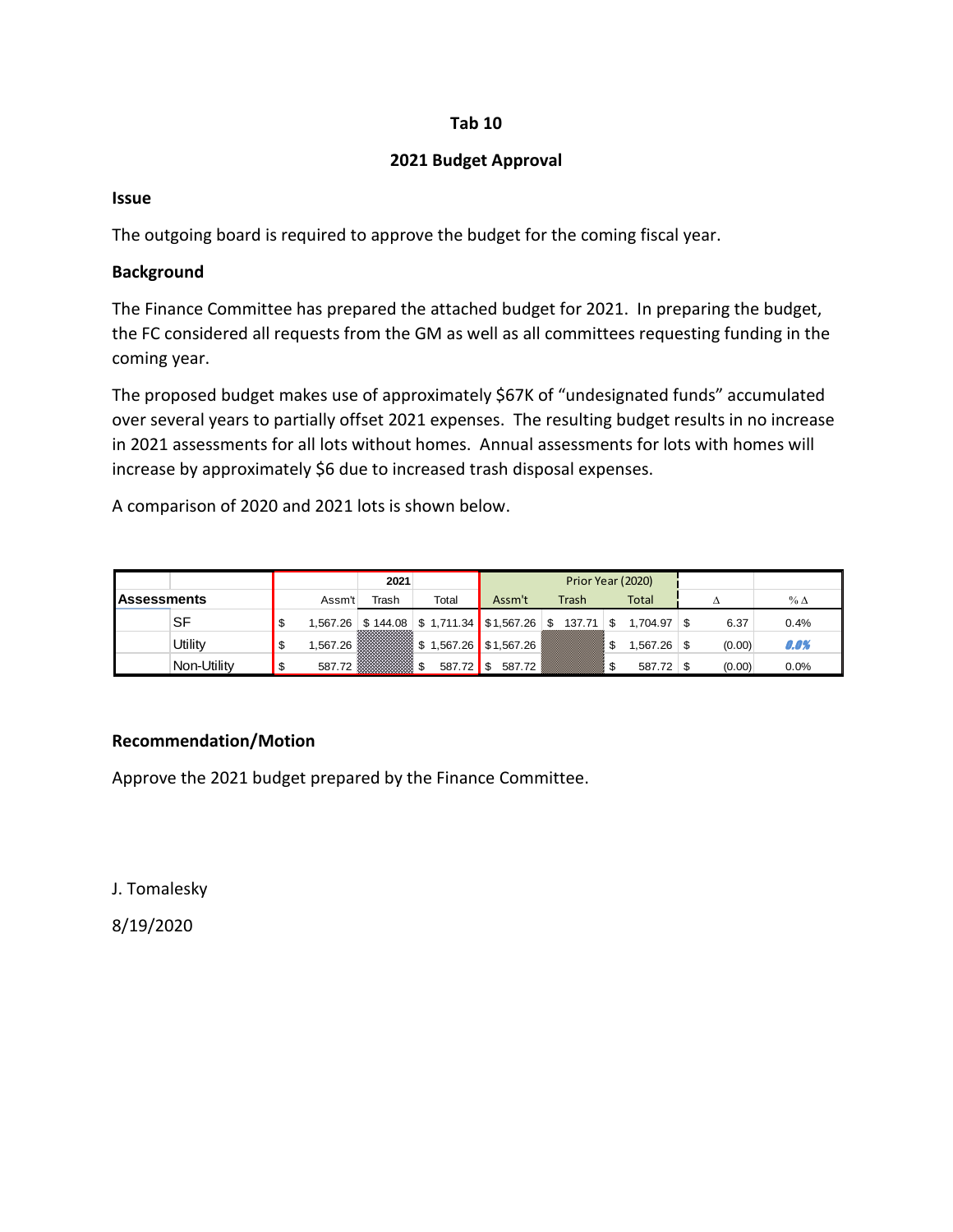## **Tab 10**

## **2021 Budget Approval**

#### **Issue**

The outgoing board is required to approve the budget for the coming fiscal year.

## **Background**

The Finance Committee has prepared the attached budget for 2021. In preparing the budget, the FC considered all requests from the GM as well as all committees requesting funding in the coming year.

The proposed budget makes use of approximately \$67K of "undesignated funds" accumulated over several years to partially offset 2021 expenses. The resulting budget results in no increase in 2021 assessments for all lots without homes. Annual assessments for lots with homes will increase by approximately \$6 due to increased trash disposal expenses.

A comparison of 2020 and 2021 lots is shown below.

|                    |             |          | 2021  |                                                    |                | Prior Year (2020) |   |                 |        |              |
|--------------------|-------------|----------|-------|----------------------------------------------------|----------------|-------------------|---|-----------------|--------|--------------|
| <b>Assessments</b> |             | Assm't   | Trash | Total                                              | Assm't         | Trash             |   | Total           |        | $%$ $\Delta$ |
|                    | SF          |          |       | $1,567.26$ \$144.08 \$1,711.34 \$1,567.26 \$137.71 |                |                   | S | $1.704.97$ \ \$ | 6.37   | 0.4%         |
|                    | Utility     | 1.567.26 |       | <b>ASSESSED:</b> \$1,567.26 \$1,567.26 \$          |                |                   |   | $1,567.26$ \$   | (0.00) | 0.0%         |
|                    | Non-Utility | 587.72   |       | 587.72                                             | 587.72<br>- \$ |                   |   | $587.72$ \$     | (0.00) | 0.0%         |

# **Recommendation/Motion**

Approve the 2021 budget prepared by the Finance Committee.

J. Tomalesky

8/19/2020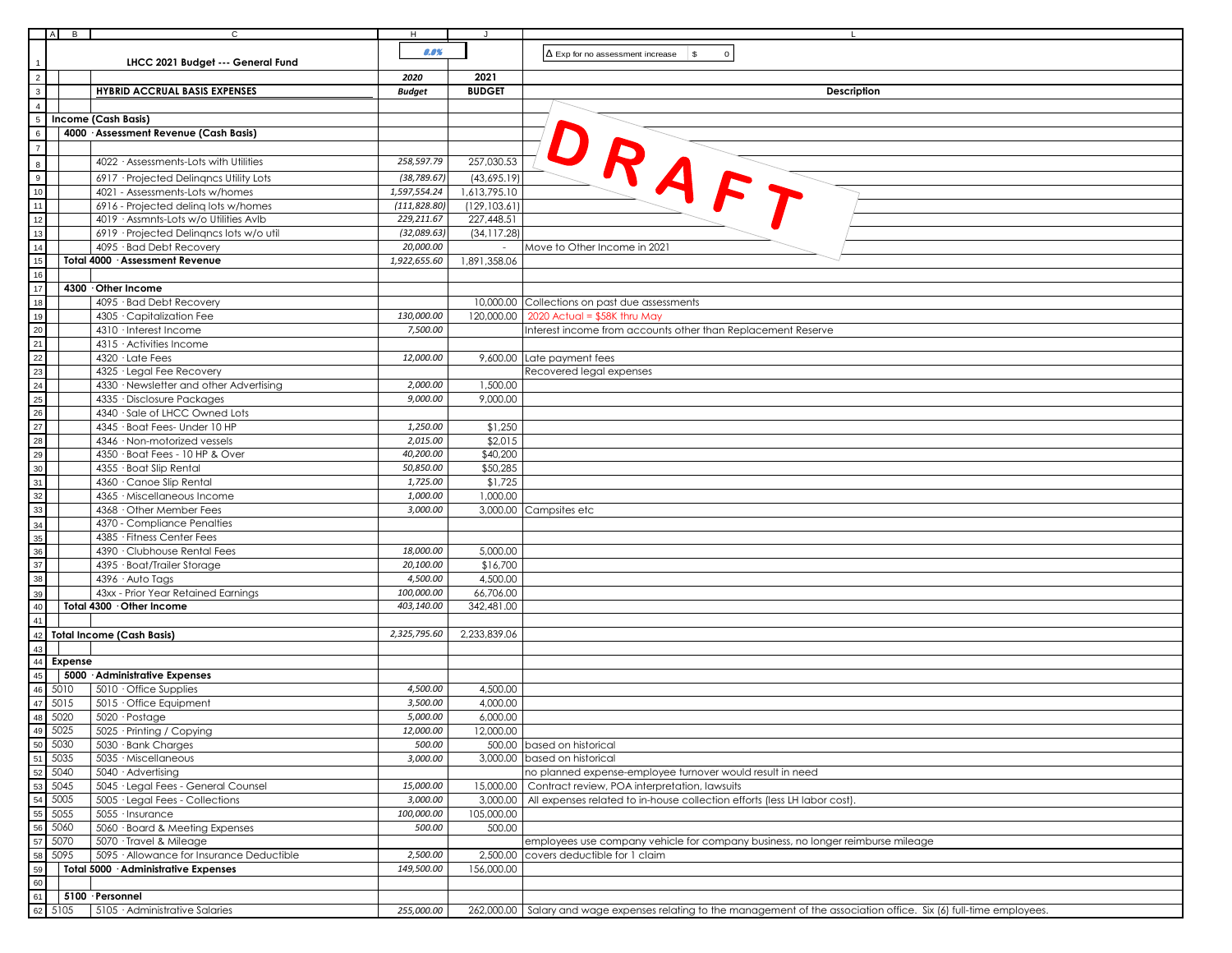| $A$ $B$      | $\overline{c}$                                                         | H                     | J             |                                                                                                                                       |
|--------------|------------------------------------------------------------------------|-----------------------|---------------|---------------------------------------------------------------------------------------------------------------------------------------|
|              |                                                                        | 0.0%                  |               |                                                                                                                                       |
|              | LHCC 2021 Budget --- General Fund                                      |                       |               | $\mathfrak s$<br>$\mathbf 0$<br>$\Delta$ Exp for no assessment increase                                                               |
|              |                                                                        | 2020                  | 2021          |                                                                                                                                       |
|              | <b>HYBRID ACCRUAL BASIS EXPENSES</b>                                   | <b>Budget</b>         | <b>BUDGET</b> | <b>Description</b>                                                                                                                    |
|              |                                                                        |                       |               |                                                                                                                                       |
|              | Income (Cash Basis)                                                    |                       |               | DRAFT                                                                                                                                 |
|              | 4000 · Assessment Revenue (Cash Basis)                                 |                       |               |                                                                                                                                       |
|              | 4022 · Assessments-Lots with Utilities                                 | 258,597.79            | 257,030.53    |                                                                                                                                       |
|              | 6917 · Projected Delingncs Utility Lots                                | (38, 789.67)          | (43,695.19)   |                                                                                                                                       |
|              | 4021 - Assessments-Lots w/homes                                        | 1,597,554.24          | 1,613,795.10  |                                                                                                                                       |
|              | 6916 - Projected deling lots w/homes                                   | (111, 828.80)         | (129, 103.61) |                                                                                                                                       |
|              | 4019 · Assmnts-Lots w/o Utilities AvIb                                 | 229,211.67            | 227,448.51    |                                                                                                                                       |
|              | 6919 · Projected Delinqncs lots w/o util                               | (32,089.63)           | (34, 117.28)  |                                                                                                                                       |
|              | 4095 · Bad Debt Recovery                                               | 20,000.00             |               | Move to Other Income in 2021                                                                                                          |
|              | Total 4000 · Assessment Revenue                                        | 1,922,655.60          | 1,891,358.06  |                                                                                                                                       |
|              |                                                                        |                       |               |                                                                                                                                       |
|              | 4300 Other Income                                                      |                       |               |                                                                                                                                       |
|              | 4095 · Bad Debt Recovery                                               |                       |               | 10,000.00 Collections on past due assessments                                                                                         |
|              | 4305 Capitalization Fee                                                | 130,000.00            |               | 120,000.00   2020 Actual = \$58K thru May                                                                                             |
|              | 4310 · Interest Income                                                 | 7,500.00              |               | Interest income from accounts other than Replacement Reserve                                                                          |
|              | 4315 · Activities Income                                               |                       |               |                                                                                                                                       |
|              | 4320 · Late Fees                                                       | 12,000.00             |               | 9,600.00 Late payment fees                                                                                                            |
|              | 4325 · Legal Fee Recovery                                              |                       |               | Recovered legal expenses                                                                                                              |
|              | 4330 · Newsletter and other Advertising<br>4335 · Disclosure Packages  | 2,000.00<br>9,000.00  | 1,500.00      |                                                                                                                                       |
|              | 4340 · Sale of LHCC Owned Lots                                         |                       | 9,000.00      |                                                                                                                                       |
|              | 4345 · Boat Fees- Under 10 HP                                          | 1,250.00              | \$1,250       |                                                                                                                                       |
|              | 4346 · Non-motorized vessels                                           | 2,015.00              | \$2,015       |                                                                                                                                       |
|              | 4350 · Boat Fees - 10 HP & Over                                        | 40,200.00             | \$40,200      |                                                                                                                                       |
|              | 4355 · Boat Slip Rental                                                | 50,850.00             | \$50,285      |                                                                                                                                       |
|              | 4360 · Canoe Slip Rental                                               | 1,725.00              | \$1,725       |                                                                                                                                       |
|              | 4365 · Miscellaneous Income                                            | 1,000.00              | 1,000.00      |                                                                                                                                       |
|              | 4368 · Other Member Fees                                               | 3,000.00              |               | 3,000.00 Campsites etc                                                                                                                |
|              | 4370 - Compliance Penalties                                            |                       |               |                                                                                                                                       |
|              | 4385 · Fitness Center Fees                                             |                       |               |                                                                                                                                       |
|              | 4390 · Clubhouse Rental Fees                                           | 18,000.00             | 5,000.00      |                                                                                                                                       |
|              | 4395 · Boat/Trailer Storage                                            | 20,100.00             | \$16,700      |                                                                                                                                       |
|              | 4396 · Auto Tags                                                       | 4,500.00              | 4,500.00      |                                                                                                                                       |
|              | 43xx - Prior Year Retained Earnings                                    | 100,000.00            | 66,706.00     |                                                                                                                                       |
|              | Total 4300 . Other Income                                              | 403,140.00            | 342,481.00    |                                                                                                                                       |
|              | <b>Total Income (Cash Basis)</b>                                       | 2,325,795.60          | 2,233,839.06  |                                                                                                                                       |
|              |                                                                        |                       |               |                                                                                                                                       |
| Expense      |                                                                        |                       |               |                                                                                                                                       |
|              | 5000 · Administrative Expenses                                         |                       |               |                                                                                                                                       |
| 5010         | $5010 \cdot$ Office Supplies                                           | 4,500.00              | 4,500.00      |                                                                                                                                       |
| 5015         | 5015 Office Equipment                                                  | 3,500.00              | 4,000.00      |                                                                                                                                       |
| 5020         | $5020 \cdot \text{Postage}$                                            | 5,000.00              | 6,000.00      |                                                                                                                                       |
| 5025         | 5025 · Printing / Copying                                              | 12,000.00             | 12,000.00     |                                                                                                                                       |
| 5030         | 5030 · Bank Charges                                                    | 500.00                |               | 500.00 based on historical                                                                                                            |
| 5035         | 5035 · Miscellaneous                                                   | 3,000.00              |               | 3,000.00 based on historical<br>no planned expense-employee turnover would result in need                                             |
| 5040<br>5045 | 5040 · Advertising                                                     |                       |               |                                                                                                                                       |
| 5005         | 5045 · Legal Fees - General Counsel<br>5005 · Legal Fees - Collections | 15,000.00<br>3,000.00 | 15,000.00     | Contract review, POA interpretation, lawsuits<br>3,000,00   All expenses related to in-house collection efforts (less LH labor cost). |
| 5055         | 5055 · Insurance                                                       | 100,000.00            | 105,000.00    |                                                                                                                                       |
| 5060         | 5060 · Board & Meeting Expenses                                        | 500.00                | 500.00        |                                                                                                                                       |
| 5070         | 5070 · Travel & Mileage                                                |                       |               | employees use company vehicle for company business, no longer reimburse mileage                                                       |
| 5095         | 5095 · Allowance for Insurance Deductible                              | 2,500.00              |               | 2,500.00 covers deductible for 1 claim                                                                                                |
|              | Total 5000 · Administrative Expenses                                   | 149,500.00            | 156,000.00    |                                                                                                                                       |
|              |                                                                        |                       |               |                                                                                                                                       |
|              | 5100 · Personnel                                                       |                       |               |                                                                                                                                       |
| 5105         | $\frac{1}{2}$ 5105 $\cdot$ Administrative Salaries                     | 255,000.00            |               | 262,000.00 Salary and wage expenses relating to the management of the association office. Six (6) full-time employees.                |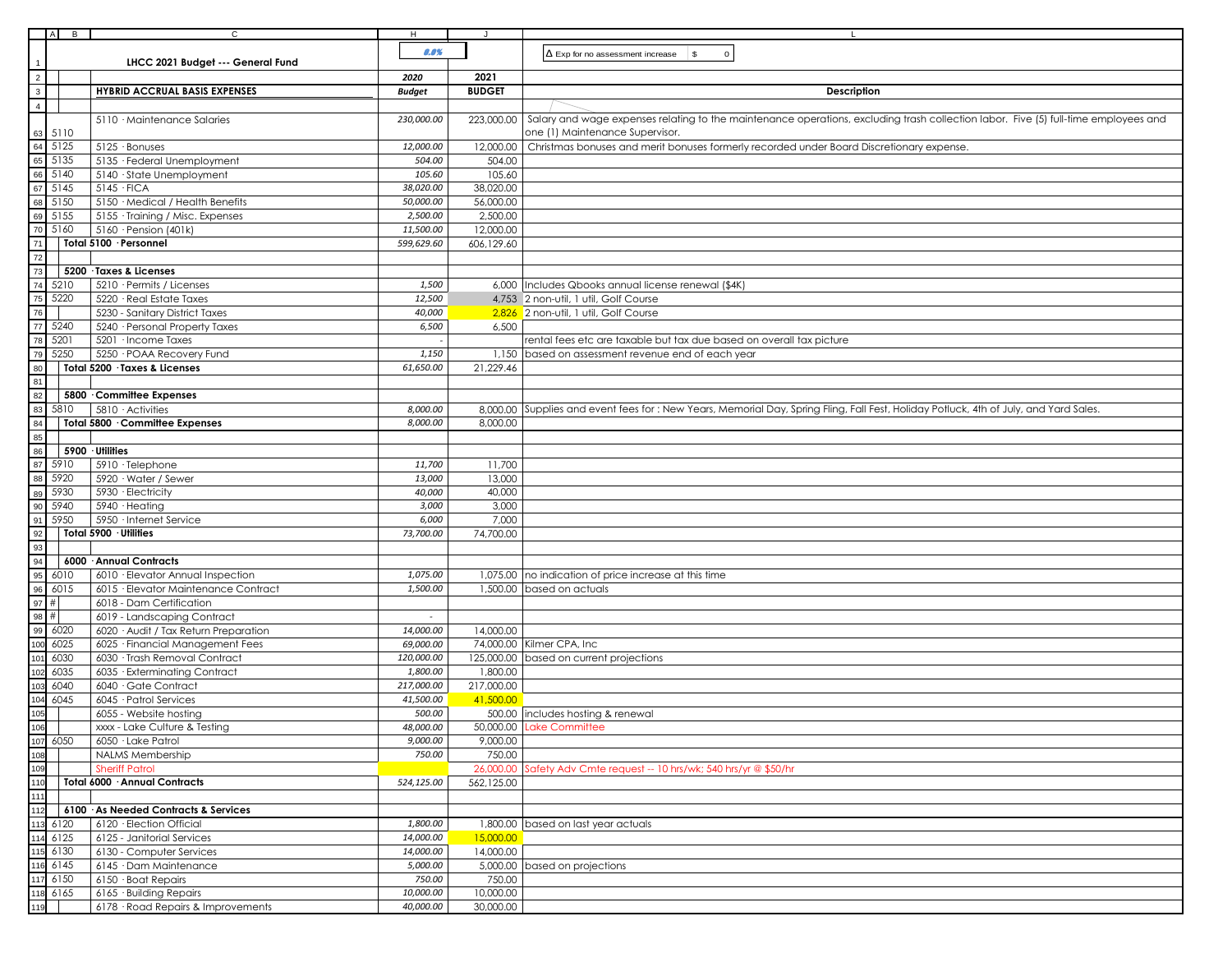|                                                     | B            | $\mathsf{C}$                                                         | H                  |                       |                                                                                                                                       |
|-----------------------------------------------------|--------------|----------------------------------------------------------------------|--------------------|-----------------------|---------------------------------------------------------------------------------------------------------------------------------------|
|                                                     |              |                                                                      | 0.0%               |                       | $\Delta$ Exp for no assessment increase<br>\$<br>$\circ$                                                                              |
| $\begin{array}{c c}\n1 \\ 2 \\ 3 \\ 4\n\end{array}$ |              | LHCC 2021 Budget --- General Fund                                    |                    |                       |                                                                                                                                       |
|                                                     |              |                                                                      | 2020               | 2021<br><b>BUDGET</b> |                                                                                                                                       |
|                                                     |              | <b>HYBRID ACCRUAL BASIS EXPENSES</b>                                 | <b>Budget</b>      |                       | Description                                                                                                                           |
|                                                     |              | 5110 · Maintenance Salaries                                          | 230,000.00         | 223,000.00            | Salary and wage expenses relating to the maintenance operations, excluding trash collection labor. Five (5) full-time employees and   |
|                                                     | 5110         |                                                                      |                    |                       | one (1) Maintenance Supervisor.                                                                                                       |
|                                                     | 5125         | 5125 · Bonuses                                                       | 12,000.00          | 12,000.00             | Christmas bonuses and merit bonuses formerly recorded under Board Discretionary expense.                                              |
|                                                     | 5135         | 5135 · Federal Unemployment                                          | 504.00             | 504.00                |                                                                                                                                       |
|                                                     | 5140         | 5140 · State Unemployment                                            | 105.60             | 105.60                |                                                                                                                                       |
|                                                     | 5145         | $5145 \cdot FICA$                                                    | 38,020.00          | 38,020.00             |                                                                                                                                       |
|                                                     | 5150         | 5150 · Medical / Health Benefits                                     | 50,000.00          | 56,000.00             |                                                                                                                                       |
|                                                     | 5155         | 5155 · Training / Misc. Expenses                                     | 2,500.00           | 2,500.00              |                                                                                                                                       |
|                                                     | 5160         | 5160 · Pension (401k)                                                | 11,500.00          | 12,000.00             |                                                                                                                                       |
|                                                     |              | Total 5100 · Personnel                                               | 599,629.60         | 606,129.60            |                                                                                                                                       |
|                                                     |              |                                                                      |                    |                       |                                                                                                                                       |
|                                                     |              | 5200 · Taxes & Licenses                                              |                    |                       |                                                                                                                                       |
|                                                     | 5210         | 5210 · Permits / Licenses                                            | 1,500              |                       | 6,000   Includes Qbooks annual license renewal (\$4K)                                                                                 |
|                                                     | 5220         | 5220 · Real Estate Taxes                                             | 12,500             |                       | 4,753 2 non-util, 1 util, Golf Course                                                                                                 |
|                                                     |              | 5230 - Sanitary District Taxes                                       | 40,000             |                       | 2,826 2 non-util, 1 util, Golf Course                                                                                                 |
|                                                     | 5240         | 5240 · Personal Property Taxes                                       | 6,500              | 6,500                 |                                                                                                                                       |
|                                                     | 5201         | 5201 · Income Taxes                                                  |                    |                       | rental fees etc are taxable but tax due based on overall tax picture                                                                  |
|                                                     | 5250         | 5250 · POAA Recovery Fund<br>Total 5200 · Taxes & Licenses           | 1,150<br>61,650.00 |                       | 1,150 based on assessment revenue end of each year                                                                                    |
|                                                     |              |                                                                      |                    | 21,229.46             |                                                                                                                                       |
|                                                     |              | 5800 Committee Expenses                                              |                    |                       |                                                                                                                                       |
|                                                     | 5810         | 5810 Activities                                                      | 8,000.00           |                       | 8,000.00 Supplies and event fees for: New Years, Memorial Day, Spring Fling, Fall Fest, Holiday Potluck, 4th of July, and Yard Sales. |
|                                                     |              | Total 5800 Committee Expenses                                        | 8,000.00           | 8,000.00              |                                                                                                                                       |
|                                                     |              |                                                                      |                    |                       |                                                                                                                                       |
|                                                     |              | 5900 · Utilities                                                     |                    |                       |                                                                                                                                       |
|                                                     | 5910         | 5910 · Telephone                                                     | 11,700             | 11,700                |                                                                                                                                       |
|                                                     | 5920         | 5920 · Water / Sewer                                                 | 13,000             | 13,000                |                                                                                                                                       |
|                                                     | 5930         | 5930 · Electricity                                                   | 40,000             | 40,000                |                                                                                                                                       |
|                                                     | 5940         | 5940 · Heating                                                       | 3,000              | 3,000                 |                                                                                                                                       |
|                                                     | 5950         | 5950 · Internet Service                                              | 6,000              | 7,000                 |                                                                                                                                       |
|                                                     |              | Total 5900 · Utilities                                               | 73,700.00          | 74,700.00             |                                                                                                                                       |
|                                                     |              |                                                                      |                    |                       |                                                                                                                                       |
|                                                     |              | 6000 Annual Contracts                                                |                    |                       |                                                                                                                                       |
|                                                     | 6010         | 6010 · Elevator Annual Inspection                                    | 1,075.00           |                       | 1,075.00 no indication of price increase at this time                                                                                 |
|                                                     | 6015<br>#    | 6015 · Elevator Maintenance Contract                                 | 1,500.00           |                       | 1,500.00 based on actuals                                                                                                             |
|                                                     | #            | 6018 - Dam Certification                                             |                    |                       |                                                                                                                                       |
|                                                     | 6020         | 6019 - Landscaping Contract<br>6020 · Audit / Tax Return Preparation | 14,000.00          | 14,000.00             |                                                                                                                                       |
|                                                     | 6025         | 6025 · Financial Management Fees                                     | 69,000.00          |                       | 74,000.00 Kilmer CPA, Inc                                                                                                             |
|                                                     | 6030         | 6030 · Trash Removal Contract                                        | 120,000.00         |                       | 125,000.00 based on current projections                                                                                               |
|                                                     | 6035         | 6035 · Exterminating Contract                                        | 1,800.00           | 1,800.00              |                                                                                                                                       |
|                                                     | 6040         | 6040 · Gate Contract                                                 | 217,000.00         | 217,000.00            |                                                                                                                                       |
|                                                     | 6045         | 6045 · Patrol Services                                               | 41,500.00          | 41,500.00             |                                                                                                                                       |
|                                                     |              | 6055 - Website hosting                                               | 500.00             |                       | 500.00  includes hosting & renewal                                                                                                    |
|                                                     |              | xxxx - Lake Culture & Testing                                        | 48,000.00          |                       | 50,000.00 Lake Committee                                                                                                              |
|                                                     | 6050         | 6050 · Lake Patrol                                                   | 9,000.00           | 9,000.00              |                                                                                                                                       |
|                                                     |              | NALMS Membership                                                     | 750.00             | 750.00                |                                                                                                                                       |
|                                                     |              | <b>Sheriff Patrol</b>                                                |                    | 26,000.00             | Safety Adv Cmte request -- 10 hrs/wk; 540 hrs/yr @ \$50/hr                                                                            |
|                                                     |              | Total 6000 · Annual Contracts                                        | 524,125.00         | 562,125.00            |                                                                                                                                       |
|                                                     |              |                                                                      |                    |                       |                                                                                                                                       |
|                                                     |              | 6100 · As Needed Contracts & Services                                |                    |                       |                                                                                                                                       |
|                                                     | 6120         | 6120 · Election Official                                             | 1,800.00           |                       | 1,800.00 based on last year actuals                                                                                                   |
|                                                     | 6125         | 6125 - Janitorial Services                                           | 14,000.00          | 15,000.00             |                                                                                                                                       |
|                                                     | 6130<br>6145 | 6130 - Computer Services                                             | 14,000.00          | 14,000.00             |                                                                                                                                       |
|                                                     | 6150         | 6145 · Dam Maintenance                                               | 5,000.00<br>750.00 |                       | 5,000.00 based on projections                                                                                                         |
|                                                     | 6165         | $6150$ $\cdot$ Boat Repairs<br>6165 · Building Repairs               | 10,000.00          | 750.00<br>10,000.00   |                                                                                                                                       |
|                                                     |              | 6178 · Road Repairs & Improvements                                   | 40,000.00          | 30,000.00             |                                                                                                                                       |
|                                                     |              |                                                                      |                    |                       |                                                                                                                                       |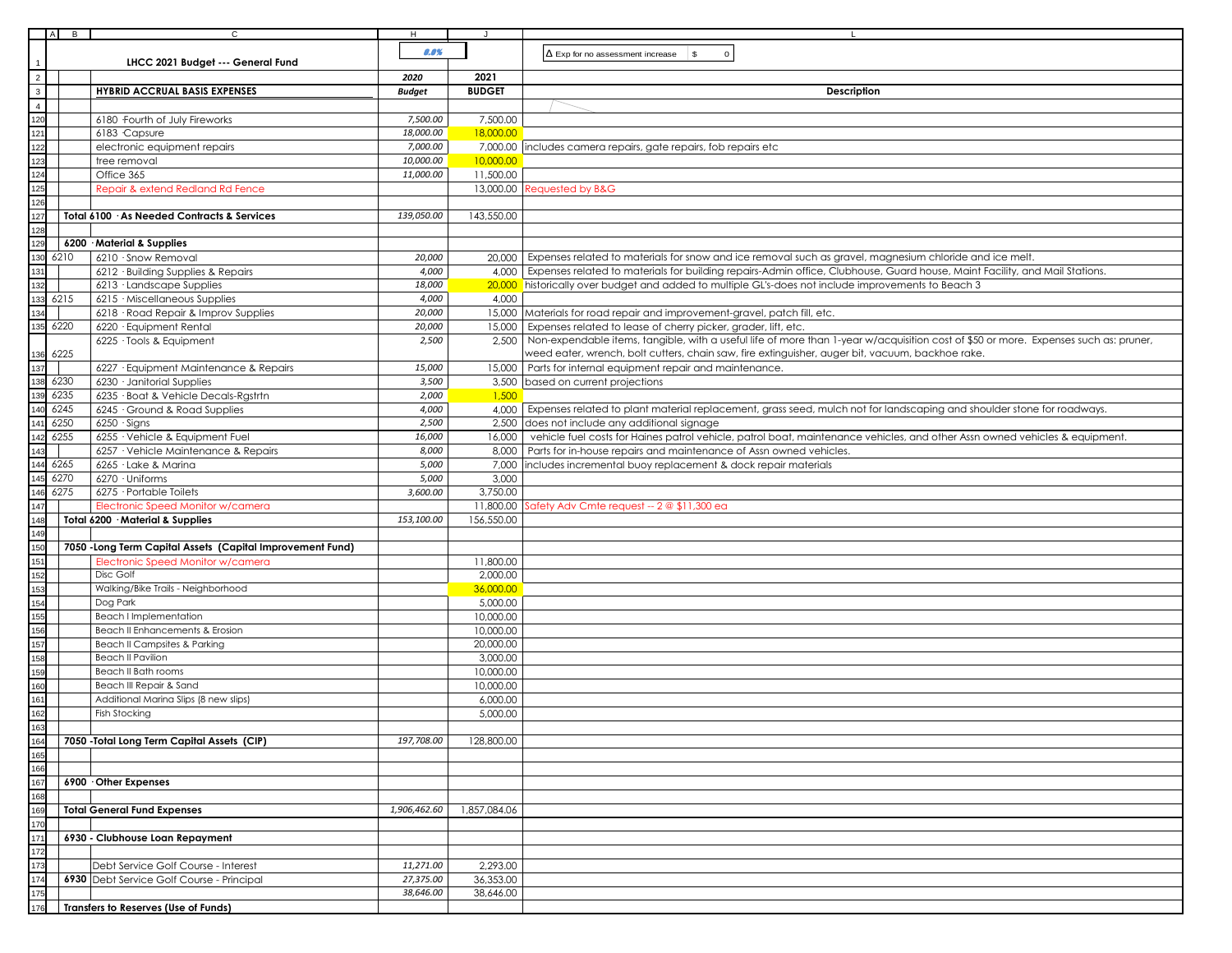|                                                                                  | $\blacksquare$<br>A | $\mathsf{C}$                                               | H             | J             |                                                                                                                                      |
|----------------------------------------------------------------------------------|---------------------|------------------------------------------------------------|---------------|---------------|--------------------------------------------------------------------------------------------------------------------------------------|
|                                                                                  |                     | LHCC 2021 Budget --- General Fund                          | 0.0%          |               | $\Delta$ Exp for no assessment increase<br>$\mathfrak s$<br>$\mathbf 0$                                                              |
|                                                                                  |                     |                                                            | 2020          | 2021          |                                                                                                                                      |
|                                                                                  |                     | <b>HYBRID ACCRUAL BASIS EXPENSES</b>                       |               | <b>BUDGET</b> |                                                                                                                                      |
|                                                                                  |                     |                                                            | <b>Budget</b> |               | <b>Description</b>                                                                                                                   |
|                                                                                  |                     |                                                            |               |               |                                                                                                                                      |
|                                                                                  |                     | 6180 Fourth of July Fireworks                              | 7,500.00      | 7,500.00      |                                                                                                                                      |
|                                                                                  |                     | 6183 Capsure                                               | 18,000.00     | 18,000.00     |                                                                                                                                      |
|                                                                                  |                     | electronic equipment repairs                               | 7,000.00      | 7,000.00      | includes camera repairs, gate repairs, fob repairs etc                                                                               |
|                                                                                  |                     | tree removal                                               | 10,000.00     | 10,000.00     |                                                                                                                                      |
|                                                                                  |                     | Office 365                                                 | 11,000.00     | 11,500.00     |                                                                                                                                      |
|                                                                                  |                     | Repair & extend Redland Rd Fence                           |               | 13,000.00     | Requested by B&G                                                                                                                     |
|                                                                                  |                     |                                                            |               |               |                                                                                                                                      |
|                                                                                  |                     | Total 6100 · As Needed Contracts & Services                | 139,050.00    | 143,550.00    |                                                                                                                                      |
|                                                                                  |                     |                                                            |               |               |                                                                                                                                      |
|                                                                                  |                     | 6200 · Material & Supplies                                 |               |               |                                                                                                                                      |
|                                                                                  | 6210                | 6210 · Snow Removal                                        | 20,000        |               | 20,000 Expenses related to materials for snow and ice removal such as gravel, magnesium chloride and ice melt.                       |
|                                                                                  |                     | 6212 · Building Supplies & Repairs                         | 4,000         |               | 4,000 Expenses related to materials for building repairs-Admin office, Clubhouse, Guard house, Maint Facility, and Mail Stations.    |
|                                                                                  |                     |                                                            | 18,000        |               | 20,000 historically over budget and added to multiple GL's-does not include improvements to Beach 3                                  |
|                                                                                  |                     | 6213 Landscape Supplies                                    |               |               |                                                                                                                                      |
|                                                                                  | 6215                | 6215 · Miscellaneous Supplies                              | 4,000         | 4,000         |                                                                                                                                      |
|                                                                                  |                     | 6218 · Road Repair & Improv Supplies                       | 20,000        |               | 15,000 Materials for road repair and improvement-gravel, patch fill, etc.                                                            |
|                                                                                  | 6220                | 6220 · Equipment Rental                                    | 20,000        |               | 15,000 Expenses related to lease of cherry picker, grader, lift, etc.                                                                |
|                                                                                  |                     | 6225 · Tools & Equipment                                   | 2,500         | 2,500         | Non-expendable items, tangible, with a useful life of more than 1-year w/acquisition cost of \$50 or more. Expenses such as: pruner, |
|                                                                                  | 6225                |                                                            |               |               | weed eater, wrench, bolt cutters, chain saw, fire extinguisher, auger bit, vacuum, backhoe rake.                                     |
|                                                                                  |                     | 6227 · Equipment Maintenance & Repairs                     | 15,000        | 15,000        | Parts for internal equipment repair and maintenance.                                                                                 |
|                                                                                  | 6230                | 6230 · Janitorial Supplies                                 | 3,500         |               | 3,500 based on current projections                                                                                                   |
| 136<br>137<br>138<br>139<br>140<br>141                                           | 6235                | 6235 · Boat & Vehicle Decals-Rgstrtn                       | 2,000         | 1,500         |                                                                                                                                      |
|                                                                                  | 6245                | 6245 · Ground & Road Supplies                              | 4,000         |               | 4,000   Expenses related to plant material replacement, grass seed, mulch not for landscaping and shoulder stone for roadways.       |
|                                                                                  | 6250                | $6250 \cdot$ Signs                                         | 2,500         |               | 2,500 does not include any additional signage                                                                                        |
| 142                                                                              | 6255                | 6255 · Vehicle & Equipment Fuel                            | 16,000        | 16,000        | vehicle fuel costs for Haines patrol vehicle, patrol boat, maintenance vehicles, and other Assn owned vehicles & equipment.          |
| 143                                                                              |                     | 6257 · Vehicle Maintenance & Repairs                       | 8,000         | 8,000         | Parts for in-house repairs and maintenance of Assn owned vehicles.                                                                   |
|                                                                                  | 6265                | 6265 · Lake & Marina                                       | 5,000         | 7,000         | includes incremental buoy replacement & dock repair materials                                                                        |
| $\frac{144}{145}$                                                                | 6270                | 6270 · Uniforms                                            | 5,000         | 3,000         |                                                                                                                                      |
|                                                                                  | 6275                | 6275 · Portable Toilets                                    | 3,600.00      | 3,750.00      |                                                                                                                                      |
| $\frac{146}{147}$                                                                |                     | Electronic Speed Monitor w/camera                          |               |               |                                                                                                                                      |
|                                                                                  |                     | Total 6200 · Material & Supplies                           |               | 11,800.00     | Safety Adv Cmte request -- 2 @ \$11,300 ea                                                                                           |
|                                                                                  |                     |                                                            | 153,100.00    | 156,550.00    |                                                                                                                                      |
|                                                                                  |                     |                                                            |               |               |                                                                                                                                      |
|                                                                                  |                     | 7050 - Long Term Capital Assets (Capital Improvement Fund) |               |               |                                                                                                                                      |
|                                                                                  |                     | Electronic Speed Monitor w/camera                          |               | 11,800.00     |                                                                                                                                      |
|                                                                                  |                     | Disc Golf                                                  |               | 2,000.00      |                                                                                                                                      |
|                                                                                  |                     | Walking/Bike Trails - Neighborhood                         |               | 36,000.00     |                                                                                                                                      |
| 148<br>149<br>150<br>151<br>152<br>153<br>154<br>155<br>156<br>157<br>158<br>159 |                     | Dog Park                                                   |               | 5,000.00      |                                                                                                                                      |
|                                                                                  |                     | <b>Beach I Implementation</b>                              |               | 10,000.00     |                                                                                                                                      |
|                                                                                  |                     | Beach II Enhancements & Erosion                            |               | 10,000.00     |                                                                                                                                      |
|                                                                                  |                     | Beach II Campsites & Parking                               |               | 20,000.00     |                                                                                                                                      |
|                                                                                  |                     | <b>Beach II Pavilion</b>                                   |               | 3,000.00      |                                                                                                                                      |
|                                                                                  |                     | Beach II Bath rooms                                        |               | 10,000.00     |                                                                                                                                      |
|                                                                                  |                     | Beach III Repair & Sand                                    |               | 10,000.00     |                                                                                                                                      |
| 160<br>161                                                                       |                     | Additional Marina Slips (8 new slips)                      |               | 6,000.00      |                                                                                                                                      |
| 162                                                                              |                     | <b>Fish Stocking</b>                                       |               | 5,000.00      |                                                                                                                                      |
|                                                                                  |                     |                                                            |               |               |                                                                                                                                      |
|                                                                                  |                     | 7050 - Total Long Term Capital Assets (CIP)                | 197,708.00    | 128,800.00    |                                                                                                                                      |
|                                                                                  |                     |                                                            |               |               |                                                                                                                                      |
|                                                                                  |                     |                                                            |               |               |                                                                                                                                      |
|                                                                                  |                     | 6900 Other Expenses                                        |               |               |                                                                                                                                      |
|                                                                                  |                     |                                                            |               |               |                                                                                                                                      |
|                                                                                  |                     |                                                            |               |               |                                                                                                                                      |
|                                                                                  |                     | <b>Total General Fund Expenses</b>                         | 1,906,462.60  | 1,857,084.06  |                                                                                                                                      |
|                                                                                  |                     |                                                            |               |               |                                                                                                                                      |
|                                                                                  |                     | 6930 - Clubhouse Loan Repayment                            |               |               |                                                                                                                                      |
|                                                                                  |                     |                                                            |               |               |                                                                                                                                      |
|                                                                                  |                     | Debt Service Golf Course - Interest                        | 11,271.00     | 2,293.00      |                                                                                                                                      |
|                                                                                  |                     | 6930 Debt Service Golf Course - Principal                  | 27,375.00     | 36,353.00     |                                                                                                                                      |
|                                                                                  |                     |                                                            | 38,646.00     | 38,646.00     |                                                                                                                                      |
|                                                                                  |                     | Transfers to Reserves (Use of Funds)                       |               |               |                                                                                                                                      |